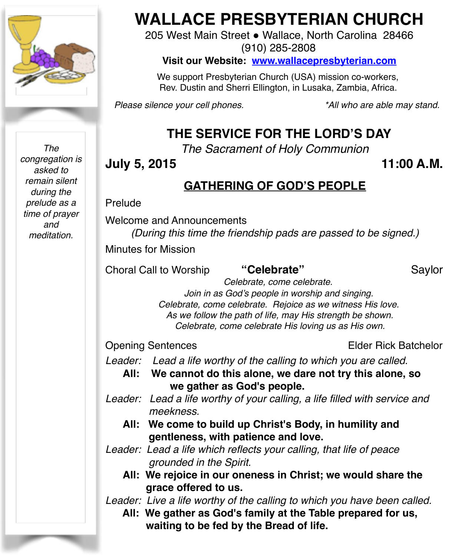

*The congregation is asked to remain silent during the prelude as a time of prayer and meditation.*

# **WALLACE PRESBYTERIAN CHURCH**

205 West Main Street . Wallace, North Carolina 28466 (910) 285-2808

**Visit our Website: [www.wallacepresbyterian.com](http://www.wallacepresbyterian.com)**

 We support Presbyterian Church (USA) mission co-workers, Rev. Dustin and Sherri Ellington, in Lusaka, Zambia, Africa.

*Please silence your cell phones. \*All who are able may stand.*

# **THE SERVICE FOR THE LORD'S DAY**

*The Sacrament of Holy Communion*

## **July 5, 2015 11:00 A.M.**

### **GATHERING OF GOD'S PEOPLE**

#### Prelude

Welcome and Announcements

*(During this time the friendship pads are passed to be signed.)*

Minutes for Mission

Choral Call to Worship **"Celebrate"** Saylor

 *Celebrate, come celebrate. Join in as God's people in worship and singing. Celebrate, come celebrate. Rejoice as we witness His love. As we follow the path of life, may His strength be shown. Celebrate, come celebrate His loving us as His own.*

Opening Sentences **Elder Rick Batchelor** 

*Leader: Lead a life worthy of the calling to which you are called.* 

- **All: We cannot do this alone, we dare not try this alone, so we gather as God's people.**
- *Leader: Lead a life worthy of your calling, a life filled with service and meekness.*
	- **All: We come to build up Christ's Body, in humility and gentleness, with patience and love.**
- *Leader: Lead a life which reflects your calling, that life of peace grounded in the Spirit.*
	- **All: We rejoice in our oneness in Christ; we would share the grace offered to us.**
- *Leader: Live a life worthy of the calling to which you have been called.*
	- **All: We gather as God's family at the Table prepared for us, waiting to be fed by the Bread of life.**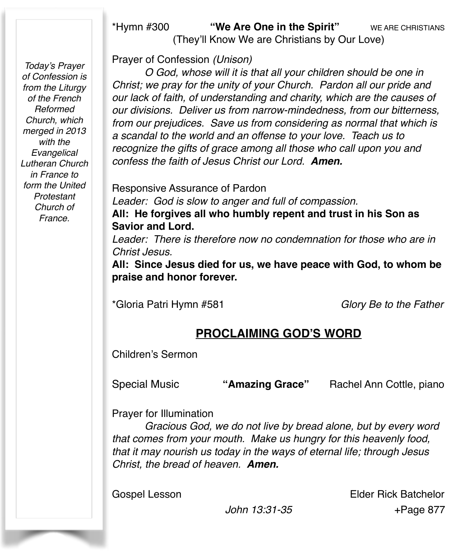#### \*Hymn #300 **"We Are One in the Spirit"** WE ARE CHRISTIANS (They'll Know We are Christians by Our Love)

*Today's Prayer of Confession is from the Liturgy of the French Reformed Church, which merged in 2013 with the Evangelical Lutheran Church in France to form the United Protestant Church of France.*

Prayer of Confession *(Unison)* 

*O God, whose will it is that all your children should be one in Christ; we pray for the unity of your Church. Pardon all our pride and our lack of faith, of understanding and charity, which are the causes of our divisions. Deliver us from narrow-mindedness, from our bitterness, from our prejudices. Save us from considering as normal that which is a scandal to the world and an offense to your love. Teach us to recognize the gifts of grace among all those who call upon you and confess the faith of Jesus Christ our Lord. Amen.*

Responsive Assurance of Pardon *Leader: God is slow to anger and full of compassion.* **All: He forgives all who humbly repent and trust in his Son as Savior and Lord.**

*Leader: There is therefore now no condemnation for those who are in Christ Jesus.*

**All: Since Jesus died for us, we have peace with God, to whom be praise and honor forever.** 

\*Gloria Patri Hymn #581 *Glory Be to the Father*

# **PROCLAIMING GOD'S WORD**

Children's Sermon

Special Music **"Amazing Grace"** Rachel Ann Cottle, piano

Prayer for Illumination

*Gracious God, we do not live by bread alone, but by every word that comes from your mouth. Make us hungry for this heavenly food, that it may nourish us today in the ways of eternal life; through Jesus Christ, the bread of heaven. Amen.*

Gospel Lesson **Elder Rick Batchelor**  *John 13:31-35* +Page 877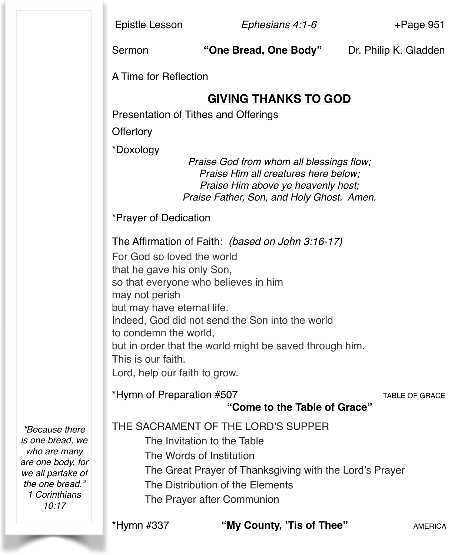Epistle Lesson *Ephesians 4:1-6* +Page 951

Sermon **"One Bread, One Body"** Dr. Philip K. Gladden

A Time for Reflection

## **GIVING THANKS TO GOD**

Presentation of Tithes and Offerings

**Offertory** 

\*Doxology

*Praise God from whom all blessings flow; Praise Him all creatures here below; Praise Him above ye heavenly host; Praise Father, Son, and Holy Ghost. Amen.*

\*Prayer of Dedication

The Affirmation of Faith: *(based on John 3:16-17)*

For God so loved the world that he gave his only Son, so that everyone who believes in him may not perish but may have eternal life. Indeed, God did not send the Son into the world to condemn the world, but in order that the world might be saved through him. This is our faith. Lord, help our faith to grow.

#### \*Hymn of Preparation #507 TABLE OF GRACE **"Come to the Table of Grace"**

*"Because there is one bread, we who are many are one body, for we all partake of the one bread." 1 Corinthians* 

*10:17*

#### THE SACRAMENT OF THE LORD'S SUPPER

The Invitation to the Table

- The Words of Institution
- The Great Prayer of Thanksgiving with the Lord's Prayer
- The Distribution of the Elements
- The Prayer after Communion

\*Hymn #337 **"My County, 'Tis of Thee"** AMERICA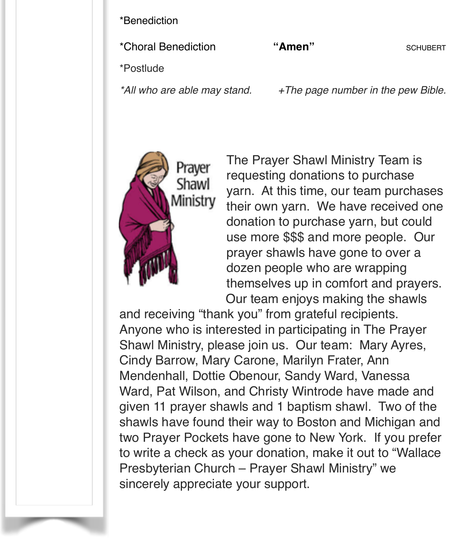\*Benediction

\*Choral Benediction **"Amen"** SCHUBERT

\*Postlude

*\*All who are able may stand. +The page number in the pew Bible.*



The Prayer Shawl Ministry Team is requesting donations to purchase yarn. At this time, our team purchases their own yarn. We have received one donation to purchase yarn, but could use more \$\$\$ and more people. Our prayer shawls have gone to over a dozen people who are wrapping themselves up in comfort and prayers. Our team enjoys making the shawls

and receiving "thank you" from grateful recipients. Anyone who is interested in participating in The Prayer Shawl Ministry, please join us. Our team: Mary Ayres, Cindy Barrow, Mary Carone, Marilyn Frater, Ann Mendenhall, Dottie Obenour, Sandy Ward, Vanessa Ward, Pat Wilson, and Christy Wintrode have made and given 11 prayer shawls and 1 baptism shawl. Two of the shawls have found their way to Boston and Michigan and two Prayer Pockets have gone to New York. If you prefer to write a check as your donation, make it out to "Wallace Presbyterian Church – Prayer Shawl Ministry" we sincerely appreciate your support.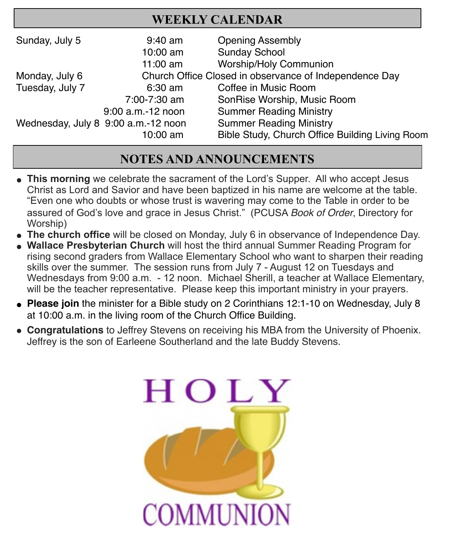# **WEEKLY CALENDAR**

| Sunday, July 5                      | $9:40$ am         | <b>Opening Assembly</b>                                |
|-------------------------------------|-------------------|--------------------------------------------------------|
|                                     | 10:00 am          | <b>Sunday School</b>                                   |
|                                     | $11:00$ am        | <b>Worship/Holy Communion</b>                          |
| Monday, July 6                      |                   | Church Office Closed in observance of Independence Day |
| Tuesday, July 7                     | $6:30$ am         | Coffee in Music Room                                   |
|                                     | 7:00-7:30 am      | SonRise Worship, Music Room                            |
|                                     | 9:00 a.m.-12 noon | <b>Summer Reading Ministry</b>                         |
| Wednesday, July 8 9:00 a.m.-12 noon |                   | <b>Summer Reading Ministry</b>                         |
|                                     | 10:00 am          | Bible Study, Church Office Building Living Room        |

# **NOTES AND ANNOUNCEMENTS**

- **This morning** we celebrate the sacrament of the Lord's Supper. All who accept Jesus Christ as Lord and Savior and have been baptized in his name are welcome at the table. "Even one who doubts or whose trust is wavering may come to the Table in order to be assured of God's love and grace in Jesus Christ." (PCUSA *Book of Order*, Directory for Worship)
- **The church office** will be closed on Monday, July 6 in observance of Independence Day.
- **Wallace Presbyterian Church** will host the third annual Summer Reading Program for rising second graders from Wallace Elementary School who want to sharpen their reading skills over the summer. The session runs from July 7 - August 12 on Tuesdays and Wednesdays from 9:00 a.m. - 12 noon. Michael Sherill, a teacher at Wallace Elementary, will be the teacher representative. Please keep this important ministry in your prayers.
- " **Please join** the minister for a Bible study on 2 Corinthians 12:1-10 on Wednesday, July 8 at 10:00 a.m. in the living room of the Church Office Building.
- **Congratulations** to Jeffrey Stevens on receiving his MBA from the University of Phoenix. Jeffrey is the son of Earleene Southerland and the late Buddy Stevens.